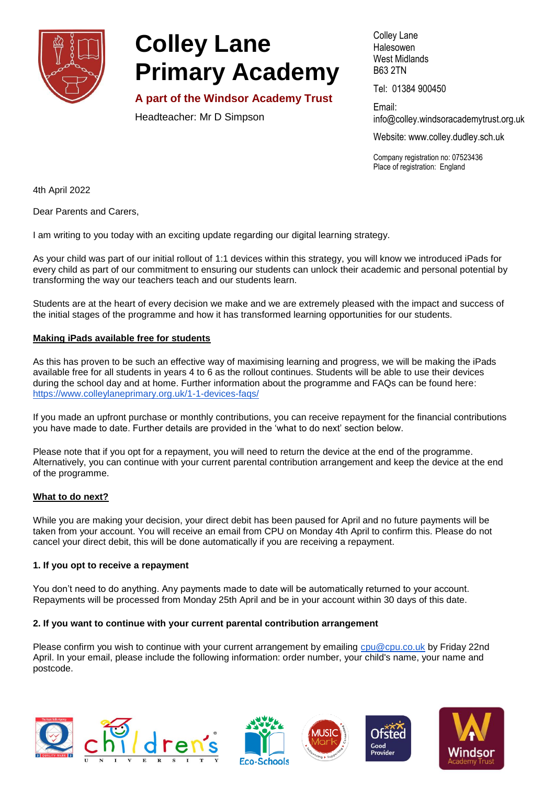

# **Colley Lane Primary Academy**

**A part of the Windsor Academy Trust**

Headteacher: Mr D Simpson

Colley Lane Halesowen West Midlands B63 2TN

Tel: 01384 900450

Email: info@colley[.windsoracademytrust.org.uk](http://www.windsoracademytrust.org.uk/)

Website: www.colley.dudley.sch.uk

Company registration no: 07523436 Place of registration: England

4th April 2022

Dear Parents and Carers,

I am writing to you today with an exciting update regarding our digital learning strategy.

As your child was part of our initial rollout of 1:1 devices within this strategy, you will know we introduced iPads for every child as part of our commitment to ensuring our students can unlock their academic and personal potential by transforming the way our teachers teach and our students learn.

Students are at the heart of every decision we make and we are extremely pleased with the impact and success of the initial stages of the programme and how it has transformed learning opportunities for our students.

## **Making iPads available free for students**

As this has proven to be such an effective way of maximising learning and progress, we will be making the iPads available free for all students in years 4 to 6 as the rollout continues. Students will be able to use their devices during the school day and at home. Further information about the programme and FAQs can be found here: <https://www.colleylaneprimary.org.uk/1-1-devices-faqs/>

If you made an upfront purchase or monthly contributions, you can receive repayment for the financial contributions you have made to date. Further details are provided in the 'what to do next' section below.

Please note that if you opt for a repayment, you will need to return the device at the end of the programme. Alternatively, you can continue with your current parental contribution arrangement and keep the device at the end of the programme.

## **What to do next?**

While you are making your decision, your direct debit has been paused for April and no future payments will be taken from your account. You will receive an email from CPU on Monday 4th April to confirm this. Please do not cancel your direct debit, this will be done automatically if you are receiving a repayment.

## **1. If you opt to receive a repayment**

You don't need to do anything. Any payments made to date will be automatically returned to your account. Repayments will be processed from Monday 25th April and be in your account within 30 days of this date.

## **2. If you want to continue with your current parental contribution arrangement**

Please confirm you wish to continue with your current arrangement by emailing [cpu@cpu.co.uk](mailto:cpu@cpu.co.uk) by Friday 22nd April. In your email, please include the following information: order number, your child's name, your name and postcode.